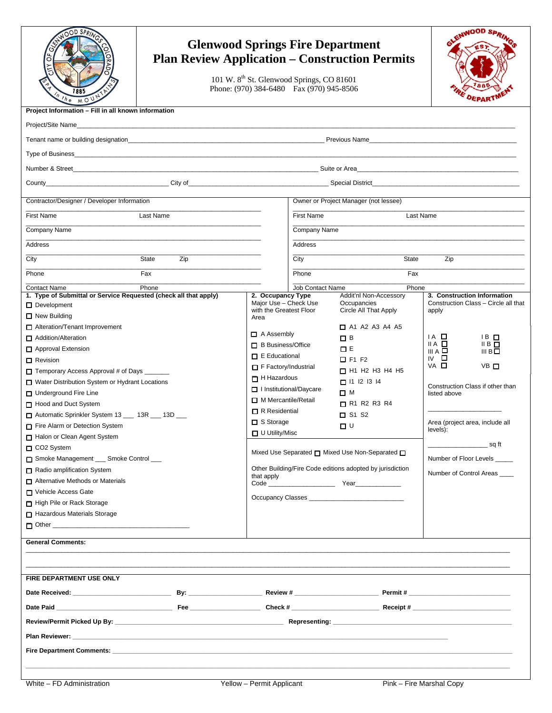| $\delta$<br>h e<br>M O                                                                  | <b>Glenwood Springs Fire Department</b><br><b>Plan Review Application – Construction Permits</b><br>101 W. 8 <sup>th</sup> St. Glenwood Springs, CO 81601<br>Phone: (970) 384-6480 Fax (970) 945-8506 |                                                                         |                                          |                                       | ENWOOD SP                                      |  |  |
|-----------------------------------------------------------------------------------------|-------------------------------------------------------------------------------------------------------------------------------------------------------------------------------------------------------|-------------------------------------------------------------------------|------------------------------------------|---------------------------------------|------------------------------------------------|--|--|
| Project Information - Fill in all known information                                     |                                                                                                                                                                                                       |                                                                         |                                          |                                       |                                                |  |  |
|                                                                                         |                                                                                                                                                                                                       |                                                                         |                                          |                                       |                                                |  |  |
|                                                                                         |                                                                                                                                                                                                       |                                                                         |                                          |                                       |                                                |  |  |
|                                                                                         |                                                                                                                                                                                                       |                                                                         |                                          |                                       |                                                |  |  |
|                                                                                         |                                                                                                                                                                                                       |                                                                         |                                          |                                       |                                                |  |  |
|                                                                                         |                                                                                                                                                                                                       |                                                                         |                                          |                                       |                                                |  |  |
|                                                                                         |                                                                                                                                                                                                       |                                                                         |                                          |                                       |                                                |  |  |
| Contractor/Designer / Developer Information                                             |                                                                                                                                                                                                       |                                                                         |                                          | Owner or Project Manager (not lessee) |                                                |  |  |
| Last Name                                                                               |                                                                                                                                                                                                       |                                                                         |                                          |                                       |                                                |  |  |
| <b>First Name</b>                                                                       |                                                                                                                                                                                                       | <b>First Name</b><br>Last Name                                          |                                          |                                       |                                                |  |  |
| Company Name                                                                            |                                                                                                                                                                                                       |                                                                         |                                          | Company Name                          |                                                |  |  |
| Address                                                                                 |                                                                                                                                                                                                       |                                                                         | Address                                  |                                       |                                                |  |  |
| City                                                                                    | State<br>Zip                                                                                                                                                                                          |                                                                         | City                                     | State                                 | Zip                                            |  |  |
| Phone                                                                                   | Fax                                                                                                                                                                                                   |                                                                         | Phone                                    | Fax                                   |                                                |  |  |
|                                                                                         |                                                                                                                                                                                                       |                                                                         |                                          |                                       |                                                |  |  |
| <b>Contact Name</b><br>1. Type of Submittal or Service Requested (check all that apply) | Phone                                                                                                                                                                                                 | 2. Occupancy Type                                                       | <b>Job Contact Name</b>                  | Phone<br>Addit'nl Non-Accessory       | 3. Construction Information                    |  |  |
| Development                                                                             |                                                                                                                                                                                                       | Major Use - Check Use                                                   |                                          | Occupancies                           | Construction Class - Circle all that           |  |  |
| $\Box$ New Building                                                                     |                                                                                                                                                                                                       | with the Greatest Floor<br>Area                                         |                                          | Circle All That Apply                 | apply                                          |  |  |
| $\Box$ Alteration/Tenant Improvement                                                    |                                                                                                                                                                                                       |                                                                         |                                          | $\Box$ A1 A2 A3 A4 A5                 |                                                |  |  |
| Addition/Alteration                                                                     |                                                                                                                                                                                                       | $\Box$ A Assembly                                                       |                                          | $\Box$ B                              | $IA$ $\Box$<br>$IB$ $\square$                  |  |  |
| Approval Extension                                                                      |                                                                                                                                                                                                       | $\Box$ B Business/Office                                                |                                          | 口日                                    | ⅡA □<br>IIB<br>III A $\Box$<br>III B $\square$ |  |  |
| $\Box$ Revision                                                                         |                                                                                                                                                                                                       | $\Box$ E Educational                                                    |                                          | $\Box$ F1 F2                          | $\mathsf{IV}$ $\Box$                           |  |  |
| Temporary Access Approval # of Days ______                                              |                                                                                                                                                                                                       | $\Box$ F Factory/Industrial                                             |                                          | $\Box$ H1 H2 H3 H4 H5                 | VA □<br>VB □                                   |  |  |
| Water Distribution System or Hydrant Locations                                          |                                                                                                                                                                                                       |                                                                         | $\Box$ H Hazardous<br>$\Box$ 11 12 13 14 |                                       | Construction Class if other than               |  |  |
| □ Underground Fire Line                                                                 |                                                                                                                                                                                                       | Institutional/Daycare                                                   |                                          | <b>□</b> M                            | listed above                                   |  |  |
| Hood and Duct System                                                                    |                                                                                                                                                                                                       | M Mercantile/Retail                                                     |                                          | $\Box$ R1 R2 R3 R4                    |                                                |  |  |
| Automatic Sprinkler System 13 __ 13R __ 13D __                                          |                                                                                                                                                                                                       | $\Box$ R Residential                                                    |                                          | $\Box$ S1 S2                          |                                                |  |  |
| Fire Alarm or Detection System                                                          |                                                                                                                                                                                                       | □ S Storage<br>$\Box$ U Utility/Misc                                    |                                          | $\Box$ $\cup$                         | Area (project area, include all<br>levels):    |  |  |
| Halon or Clean Agent System                                                             |                                                                                                                                                                                                       |                                                                         |                                          |                                       |                                                |  |  |
| CO <sub>2</sub> System                                                                  |                                                                                                                                                                                                       | Mixed Use Separated □ Mixed Use Non-Separated □                         |                                          | __________________________sq ft       |                                                |  |  |
| Smoke Management __ Smoke Control __                                                    |                                                                                                                                                                                                       |                                                                         |                                          |                                       | Number of Floor Levels _____                   |  |  |
| Radio amplification System                                                              |                                                                                                                                                                                                       | Other Building/Fire Code editions adopted by jurisdiction<br>that apply |                                          |                                       | Number of Control Areas                        |  |  |
| $\Box$ Alternative Methods or Materials                                                 |                                                                                                                                                                                                       |                                                                         |                                          |                                       |                                                |  |  |
| Vehicle Access Gate                                                                     |                                                                                                                                                                                                       |                                                                         |                                          |                                       |                                                |  |  |
| High Pile or Rack Storage<br>Hazardous Materials Storage                                |                                                                                                                                                                                                       |                                                                         |                                          |                                       |                                                |  |  |
|                                                                                         |                                                                                                                                                                                                       |                                                                         |                                          |                                       |                                                |  |  |
|                                                                                         |                                                                                                                                                                                                       |                                                                         |                                          |                                       |                                                |  |  |
| <b>General Comments:</b>                                                                |                                                                                                                                                                                                       |                                                                         |                                          |                                       |                                                |  |  |
|                                                                                         |                                                                                                                                                                                                       |                                                                         |                                          |                                       |                                                |  |  |
|                                                                                         |                                                                                                                                                                                                       |                                                                         |                                          |                                       |                                                |  |  |
| FIRE DEPARTMENT USE ONLY                                                                |                                                                                                                                                                                                       |                                                                         |                                          |                                       |                                                |  |  |
|                                                                                         |                                                                                                                                                                                                       |                                                                         |                                          |                                       |                                                |  |  |
|                                                                                         |                                                                                                                                                                                                       |                                                                         |                                          |                                       |                                                |  |  |
|                                                                                         |                                                                                                                                                                                                       |                                                                         |                                          |                                       |                                                |  |  |
|                                                                                         |                                                                                                                                                                                                       |                                                                         |                                          |                                       |                                                |  |  |
|                                                                                         |                                                                                                                                                                                                       |                                                                         |                                          |                                       |                                                |  |  |
|                                                                                         |                                                                                                                                                                                                       |                                                                         |                                          |                                       |                                                |  |  |
|                                                                                         |                                                                                                                                                                                                       |                                                                         |                                          |                                       |                                                |  |  |
|                                                                                         |                                                                                                                                                                                                       |                                                                         |                                          |                                       |                                                |  |  |
| White - FD Administration                                                               |                                                                                                                                                                                                       | Yellow - Permit Applicant                                               |                                          |                                       | Pink - Fire Marshal Copy                       |  |  |